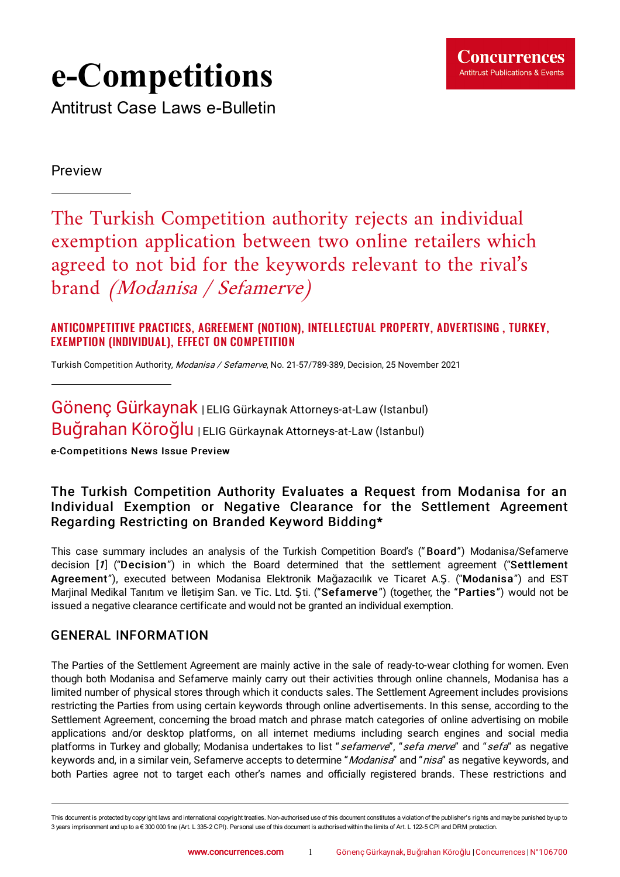# **e-Competitions**

Antitrust Case Laws e-Bulletin

Preview

The Turkish Competition authority rejects an individual exemption application between two online retailers which agreed to not bid for the keywords relevant to the rival' s brand (Modanisa / Sefamerve)

### ANTICOMPETITIVE PRACTICES, AGREEMENT (NOTION), INTELL ECTUAL PROPERTY, ADVERTISING , TURKEY, EXEMPTION (INDIVIDUAL), EFFECT ON COMPETITION

Turkish Competition Authority, Modanisa / Sefamerve, No. [21-57/789-389,](https://www.concurrences.com/IMG/pdf/karar_21-57-789-389.pdf?77989/f889da4805ed676ffd435a06d06dfc01240db501) Decision, 25 November 2021

Gönenç Gürkaynak | ELIG Gürkaynak Attorneys-at-Law (Istanbul) Buğrahan Köroğlu | ELIG Gürkaynak Attorneys-at-Law (Istanbul)

e-Competitions News Issue Preview

## The Turkish Competition Authority Evaluates a Request from Modanisa for an Individual Exemption or Negative Clearance for the Settlement Agreement Regarding Restricting on Branded Keyword Bidding\*

<span id="page-0-0"></span>This case summary includes an analysis of the Turkish Competition Board's (" Board") Modanisa/Sefamerve decision [[1](#page-3-0)] ("Decision") in which the Board determined that the settlement agreement ("Settlement Agreement"), executed between Modanisa Elektronik Mağazacılık ve Ticaret A.Ş. ("Modanisa") and EST Marjinal Medikal Tanıtım ve İletişim San. ve Tic. Ltd. Şti. ("Sefamerve") (together, the "Parties ") would not be issued a negative clearance certificate and would not be granted an individual exemption.

## GENERAL INFORMATION

The Parties of the Settlement Agreement are mainly active in the sale of ready-to-wear clothing for women. Even though both Modanisa and Sefamerve mainly carry out their activities through online channels, Modanisa has a limited number of physical stores through which it conducts sales. The Settlement Agreement includes provisions restricting the Parties from using certain keywords through online advertisements. In this sense, according to the Settlement Agreement, concerning the broad match and phrase match categories of online advertising on mobile applications and/or desktop platforms, on all internet mediums including search engines and social media platforms in Turkey and globally; Modanisa undertakes to list "*sefamerve*", "sefa merve" and "sefa" as negative keywords and, in a similar vein, Sefamerve accepts to determine "Modanisa" and "nisa" as negative keywords, and both Parties agree not to target each other's names and officially registered brands. These restrictions and

This document is protected by copyright laws and international copyright treaties. Non-authorised use of this document constitutes a violation of the publisher's rights and maybe punished byup to 3 years imprisonment and up to a € 300 000 fine (Art. L 335-2 CPI). Personal use of this document is authorised within the limits of Art. L 122-5 CPI and DRM protection.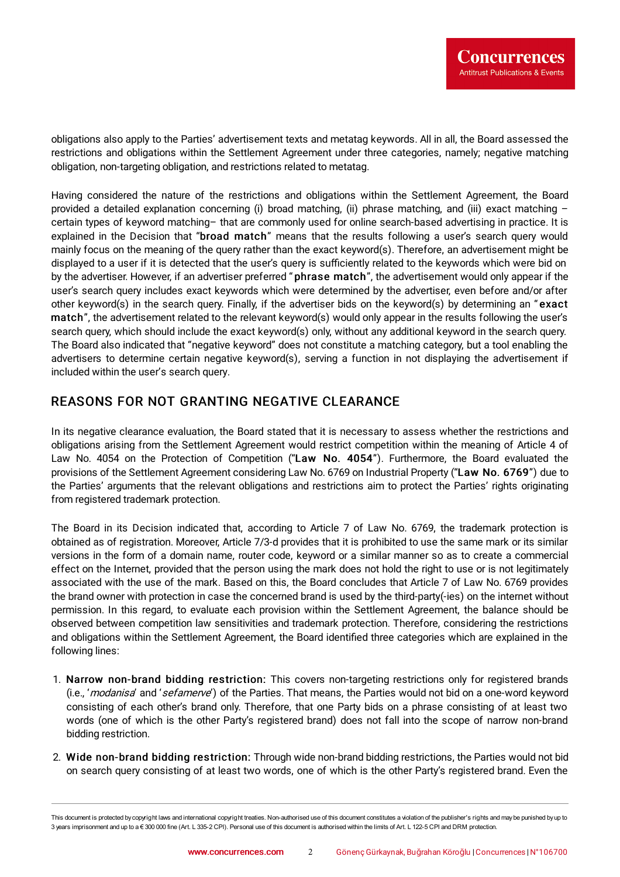obligations also apply to the Parties' advertisement texts and metatag keywords. All in all, the Board assessed the restrictions and obligations within the Settlement Agreement under three categories, namely; negative matching obligation, non-targeting obligation, and restrictions related to metatag.

Having considered the nature of the restrictions and obligations within the Settlement Agreement, the Board provided a detailed explanation concerning (i) broad matching, (ii) phrase matching, and (iii) exact matching – certain types of keyword matching– that are commonly used for online search-based advertising in practice. It is explained in the Decision that "broad match" means that the results following a user's search query would mainly focus on the meaning of the query rather than the exact keyword(s). Therefore, an advertisement might be displayed to a user if it is detected that the user's query is sufficiently related to the keywords which were bid on by the advertiser. However, if an advertiser preferred " phrase match", the advertisement would only appear if the user's search query includes exact keywords which were determined by the advertiser, even before and/or after other keyword(s) in the search query. Finally, if the advertiser bids on the keyword(s) by determining an "exact match", the advertisement related to the relevant keyword(s) would only appear in the results following the user's search query, which should include the exact keyword(s) only, without any additional keyword in the search query. The Board also indicated that "negative keyword" does not constitute a matching category, but a tool enabling the advertisers to determine certain negative keyword(s), serving a function in not displaying the advertisement if included within the user's search query.

## REASONS FOR NOT GRANTING NEGATIVE CLEARANCE

In its negative clearance evaluation, the Board stated that it is necessary to assess whether the restrictions and obligations arising from the Settlement Agreement would restrict competition within the meaning of Article 4 of Law No. 4054 on the Protection of Competition ("Law No. 4054"). Furthermore, the Board evaluated the provisions of the Settlement Agreement considering Law No. 6769 on Industrial Property ("Law No. 6769") due to the Parties' arguments that the relevant obligations and restrictions aim to protect the Parties' rights originating from registered trademark protection.

The Board in its Decision indicated that, according to Article 7 of Law No. 6769, the trademark protection is obtained as of registration. Moreover, Article 7/3-d provides that it is prohibited to use the same mark or its similar versions in the form of a domain name, router code, keyword or a similar manner so as to create a commercial effect on the Internet, provided that the person using the mark does not hold the right to use or is not legitimately associated with the use of the mark. Based on this, the Board concludes that Article 7 of Law No. 6769 provides the brand owner with protection in case the concerned brand is used by the third-party(-ies) on the internet without permission. In this regard, to evaluate each provision within the Settlement Agreement, the balance should be observed between competition law sensitivities and trademark protection. Therefore, considering the restrictions and obligations within the Settlement Agreement, the Board identified three categories which are explained in the following lines:

- 1. Narrow non-brand bidding restriction: This covers non-targeting restrictions only for registered brands (i.e., 'modanisa' and 'sefamerve') of the Parties. That means, the Parties would not bid on a one-word keyword consisting of each other's brand only. Therefore, that one Party bids on a phrase consisting of at least two words (one of which is the other Party's registered brand) does not fall into the scope of narrow non-brand bidding restriction.
- 2. Wide non-brand bidding restriction: Through wide non-brand bidding restrictions, the Parties would not bid on search query consisting of at least two words, one of which is the other Party's registered brand. Even the

This document is protected by copyright laws and international copyright treaties. Non-authorised use of this document constitutes a violation of the publisher's rights and maybe punished byup to 3 years imprisonment and up to a € 300 000 fine (Art. L 335-2 CPI). Personal use of this document is authorised within the limits of Art. L 122-5 CPI and DRM protection.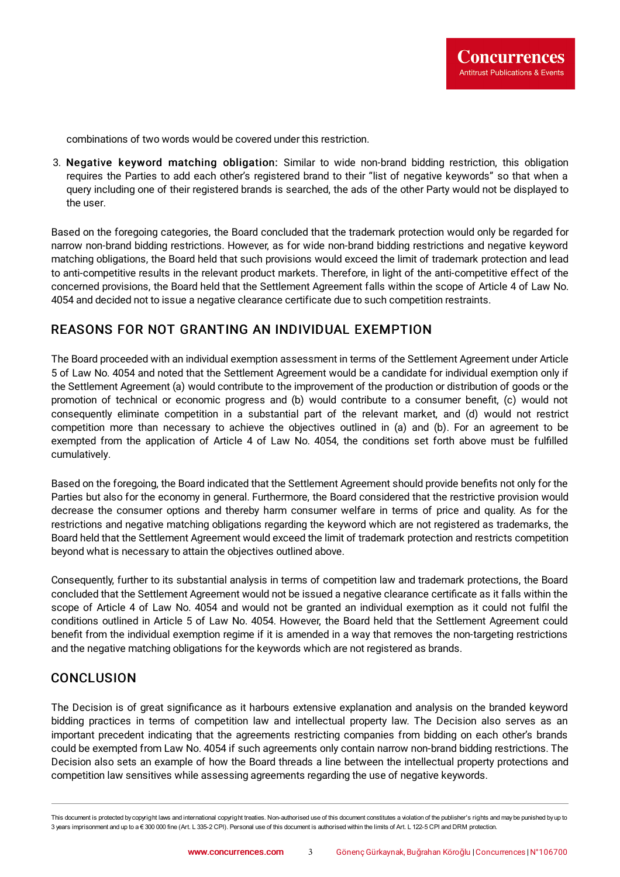combinations of two words would be covered under this restriction.

3. Negative keyword matching obligation: Similar to wide non-brand bidding restriction, this obligation requires the Parties to add each other's registered brand to their "list of negative keywords" so that when a query including one of their registered brands is searched, the ads of the other Party would not be displayed to the user.

Based on the foregoing categories, the Board concluded that the trademark protection would only be regarded for narrow non-brand bidding restrictions. However, as for wide non-brand bidding restrictions and negative keyword matching obligations, the Board held that such provisions would exceed the limit of trademark protection and lead to anti-competitive results in the relevant product markets. Therefore, in light of the anti-competitive effect of the concerned provisions, the Board held that the Settlement Agreement falls within the scope of Article 4 of Law No. 4054 and decided not to issue a negative clearance certificate due to such competition restraints.

### REASONS FOR NOT GRANTING AN INDIVIDUAL EXEMPTION

The Board proceeded with an individual exemption assessment in terms of the Settlement Agreement under Article 5 of Law No. 4054 and noted that the Settlement Agreement would be a candidate for individual exemption only if the Settlement Agreement (a) would contribute to the improvement of the production or distribution of goods or the promotion of technical or economic progress and (b) would contribute to a consumer benefit, (c) would not consequently eliminate competition in a substantial part of the relevant market, and (d) would not restrict competition more than necessary to achieve the objectives outlined in (a) and (b). For an agreement to be exempted from the application of Article 4 of Law No. 4054, the conditions set forth above must be fulfilled cumulatively.

Based on the foregoing, the Board indicated that the Settlement Agreement should provide benefits not only for the Parties but also for the economy in general. Furthermore, the Board considered that the restrictive provision would decrease the consumer options and thereby harm consumer welfare in terms of price and quality. As for the restrictions and negative matching obligations regarding the keyword which are not registered as trademarks, the Board held that the Settlement Agreement would exceed the limit of trademark protection and restricts competition beyond what is necessary to attain the objectives outlined above.

Consequently, further to its substantial analysis in terms of competition law and trademark protections, the Board concluded that the Settlement Agreement would not be issued a negative clearance certificate as it falls within the scope of Article 4 of Law No. 4054 and would not be granted an individual exemption as it could not fulfil the conditions outlined in Article 5 of Law No. 4054. However, the Board held that the Settlement Agreement could benefit from the individual exemption regime if it is amended in a way that removes the non-targeting restrictions and the negative matching obligations for the keywords which are not registered as brands.

### **CONCLUSION**

The Decision is of great significance as it harbours extensive explanation and analysis on the branded keyword bidding practices in terms of competition law and intellectual property law. The Decision also serves as an important precedent indicating that the agreements restricting companies from bidding on each other's brands could be exempted from Law No. 4054 if such agreements only contain narrow non-brand bidding restrictions. The Decision also sets an example of how the Board threads a line between the intellectual property protections and competition law sensitives while assessing agreements regarding the use of negative keywords.

This document is protected by copyright laws and international copyright treaties. Non-authorised use of this document constitutes a violation of the publisher's rights and maybe punished byup to 3 years imprisonment and up to a € 300 000 fine (Art. L 335-2 CPI). Personal use of this document is authorised within the limits of Art. L 122-5 CPI and DRM protection.